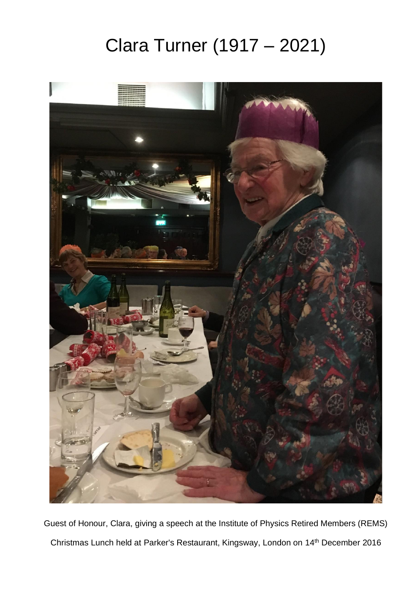## Clara Turner (1917 – 2021)



Guest of Honour, Clara, giving a speech at the Institute of Physics Retired Members (REMS) Christmas Lunch held at Parker's Restaurant, Kingsway, London on 14th December 2016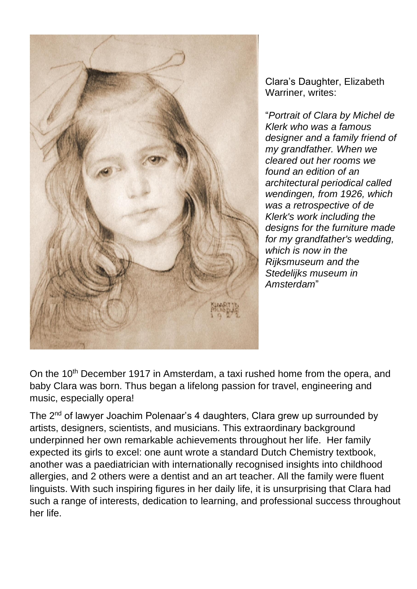

Clara's Daughter, Elizabeth Warriner, writes:

"*Portrait of Clara by Michel de Klerk who was a famous designer and a family friend of my grandfather. When we cleared out her rooms we found an edition of an architectural periodical called wendingen, from 1926, which was a retrospective of de Klerk's work including the designs for the furniture made for my grandfather's wedding, which is now in the Rijksmuseum and the Stedelijks museum in Amsterdam*"

On the 10<sup>th</sup> December 1917 in Amsterdam, a taxi rushed home from the opera, and baby Clara was born. Thus began a lifelong passion for travel, engineering and music, especially opera!

The 2<sup>nd</sup> of lawyer Joachim Polenaar's 4 daughters, Clara grew up surrounded by artists, designers, scientists, and musicians. This extraordinary background underpinned her own remarkable achievements throughout her life. Her family expected its girls to excel: one aunt wrote a standard Dutch Chemistry textbook, another was a paediatrician with internationally recognised insights into childhood allergies, and 2 others were a dentist and an art teacher. All the family were fluent linguists. With such inspiring figures in her daily life, it is unsurprising that Clara had such a range of interests, dedication to learning, and professional success throughout her life.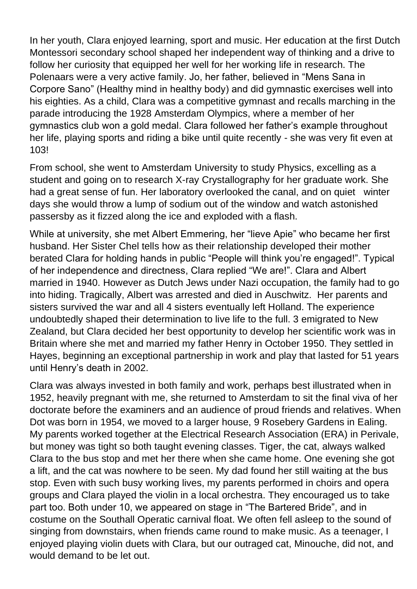In her youth, Clara enjoyed learning, sport and music. Her education at the first Dutch Montessori secondary school shaped her independent way of thinking and a drive to follow her curiosity that equipped her well for her working life in research. The Polenaars were a very active family. Jo, her father, believed in "Mens Sana in Corpore Sano" (Healthy mind in healthy body) and did gymnastic exercises well into his eighties. As a child, Clara was a competitive gymnast and recalls marching in the parade introducing the 1928 Amsterdam Olympics, where a member of her gymnastics club won a gold medal. Clara followed her father's example throughout her life, playing sports and riding a bike until quite recently - she was very fit even at 103!

From school, she went to Amsterdam University to study Physics, excelling as a student and going on to research X-ray Crystallography for her graduate work. She had a great sense of fun. Her laboratory overlooked the canal, and on quiet winter days she would throw a lump of sodium out of the window and watch astonished passersby as it fizzed along the ice and exploded with a flash.

While at university, she met Albert Emmering, her "lieve Apie" who became her first husband. Her Sister Chel tells how as their relationship developed their mother berated Clara for holding hands in public "People will think you're engaged!". Typical of her independence and directness, Clara replied "We are!". Clara and Albert married in 1940. However as Dutch Jews under Nazi occupation, the family had to go into hiding. Tragically, Albert was arrested and died in Auschwitz. Her parents and sisters survived the war and all 4 sisters eventually left Holland. The experience undoubtedly shaped their determination to live life to the full. 3 emigrated to New Zealand, but Clara decided her best opportunity to develop her scientific work was in Britain where she met and married my father Henry in October 1950. They settled in Hayes, beginning an exceptional partnership in work and play that lasted for 51 years until Henry's death in 2002.

Clara was always invested in both family and work, perhaps best illustrated when in 1952, heavily pregnant with me, she returned to Amsterdam to sit the final viva of her doctorate before the examiners and an audience of proud friends and relatives. When Dot was born in 1954, we moved to a larger house, 9 Rosebery Gardens in Ealing. My parents worked together at the Electrical Research Association (ERA) in Perivale, but money was tight so both taught evening classes. Tiger, the cat, always walked Clara to the bus stop and met her there when she came home. One evening she got a lift, and the cat was nowhere to be seen. My dad found her still waiting at the bus stop. Even with such busy working lives, my parents performed in choirs and opera groups and Clara played the violin in a local orchestra. They encouraged us to take part too. Both under 10, we appeared on stage in "The Bartered Bride", and in costume on the Southall Operatic carnival float. We often fell asleep to the sound of singing from downstairs, when friends came round to make music. As a teenager, I enjoyed playing violin duets with Clara, but our outraged cat, Minouche, did not, and would demand to be let out.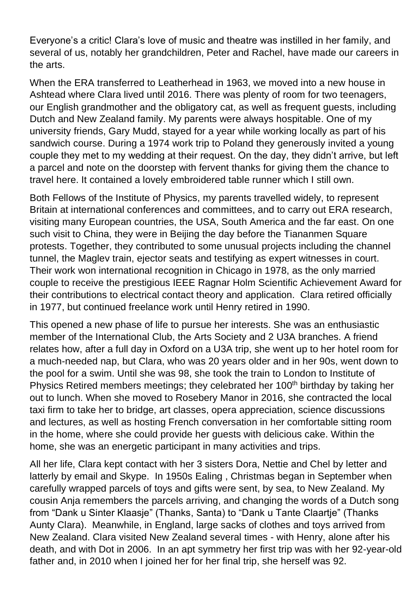Everyone's a critic! Clara's love of music and theatre was instilled in her family, and several of us, notably her grandchildren, Peter and Rachel, have made our careers in the arts.

When the ERA transferred to Leatherhead in 1963, we moved into a new house in Ashtead where Clara lived until 2016. There was plenty of room for two teenagers, our English grandmother and the obligatory cat, as well as frequent guests, including Dutch and New Zealand family. My parents were always hospitable. One of my university friends, Gary Mudd, stayed for a year while working locally as part of his sandwich course. During a 1974 work trip to Poland they generously invited a young couple they met to my wedding at their request. On the day, they didn't arrive, but left a parcel and note on the doorstep with fervent thanks for giving them the chance to travel here. It contained a lovely embroidered table runner which I still own.

Both Fellows of the Institute of Physics, my parents travelled widely, to represent Britain at international conferences and committees, and to carry out ERA research, visiting many European countries, the USA, South America and the far east. On one such visit to China, they were in Beijing the day before the Tiananmen Square protests. Together, they contributed to some unusual projects including the channel tunnel, the Maglev train, ejector seats and testifying as expert witnesses in court. Their work won international recognition in Chicago in 1978, as the only married couple to receive the prestigious IEEE Ragnar Holm Scientific Achievement Award for their contributions to electrical contact theory and application. Clara retired officially in 1977, but continued freelance work until Henry retired in 1990.

This opened a new phase of life to pursue her interests. She was an enthusiastic member of the International Club, the Arts Society and 2 U3A branches. A friend relates how, after a full day in Oxford on a U3A trip, she went up to her hotel room for a much-needed nap, but Clara, who was 20 years older and in her 90s, went down to the pool for a swim. Until she was 98, she took the train to London to Institute of Physics Retired members meetings; they celebrated her 100<sup>th</sup> birthday by taking her out to lunch. When she moved to Rosebery Manor in 2016, she contracted the local taxi firm to take her to bridge, art classes, opera appreciation, science discussions and lectures, as well as hosting French conversation in her comfortable sitting room in the home, where she could provide her guests with delicious cake. Within the home, she was an energetic participant in many activities and trips.

All her life, Clara kept contact with her 3 sisters Dora, Nettie and Chel by letter and latterly by email and Skype. In 1950s Ealing , Christmas began in September when carefully wrapped parcels of toys and gifts were sent, by sea, to New Zealand. My cousin Anja remembers the parcels arriving, and changing the words of a Dutch song from "Dank u Sinter Klaasje" (Thanks, Santa) to "Dank u Tante Claartje" (Thanks Aunty Clara). Meanwhile, in England, large sacks of clothes and toys arrived from New Zealand. Clara visited New Zealand several times - with Henry, alone after his death, and with Dot in 2006. In an apt symmetry her first trip was with her 92-year-old father and, in 2010 when I joined her for her final trip, she herself was 92.